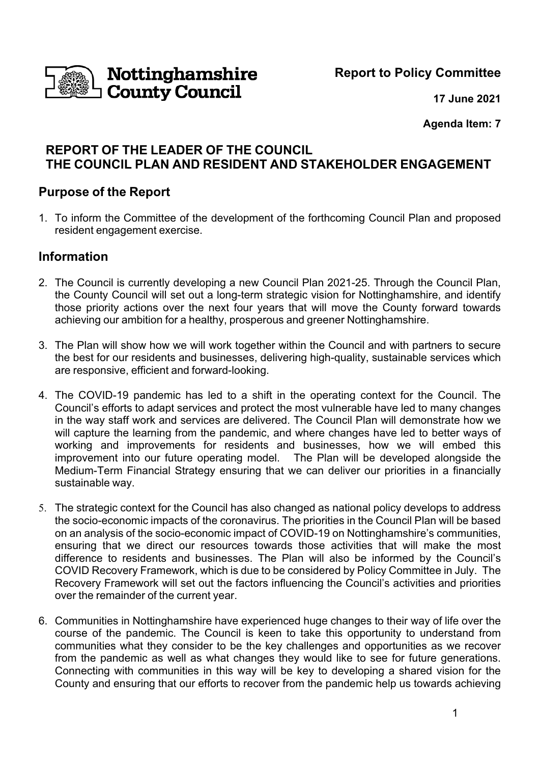**Nottinghamshire<br>I County Council** 

**Report to Policy Committee**

**17 June 2021**

**Agenda Item: 7**

# **REPORT OF THE LEADER OF THE COUNCIL THE COUNCIL PLAN AND RESIDENT AND STAKEHOLDER ENGAGEMENT**

## **Purpose of the Report**

1. To inform the Committee of the development of the forthcoming Council Plan and proposed resident engagement exercise.

## **Information**

- 2. The Council is currently developing a new Council Plan 2021-25. Through the Council Plan, the County Council will set out a long-term strategic vision for Nottinghamshire, and identify those priority actions over the next four years that will move the County forward towards achieving our ambition for a healthy, prosperous and greener Nottinghamshire.
- 3. The Plan will show how we will work together within the Council and with partners to secure the best for our residents and businesses, delivering high-quality, sustainable services which are responsive, efficient and forward-looking.
- 4. The COVID-19 pandemic has led to a shift in the operating context for the Council. The Council's efforts to adapt services and protect the most vulnerable have led to many changes in the way staff work and services are delivered. The Council Plan will demonstrate how we will capture the learning from the pandemic, and where changes have led to better ways of working and improvements for residents and businesses, how we will embed this improvement into our future operating model. The Plan will be developed alongside the Medium-Term Financial Strategy ensuring that we can deliver our priorities in a financially sustainable way.
- 5. The strategic context for the Council has also changed as national policy develops to address the socio-economic impacts of the coronavirus. The priorities in the Council Plan will be based on an analysis of the socio-economic impact of COVID-19 on Nottinghamshire's communities, ensuring that we direct our resources towards those activities that will make the most difference to residents and businesses. The Plan will also be informed by the Council's COVID Recovery Framework, which is due to be considered by Policy Committee in July. The Recovery Framework will set out the factors influencing the Council's activities and priorities over the remainder of the current year.
- 6. Communities in Nottinghamshire have experienced huge changes to their way of life over the course of the pandemic. The Council is keen to take this opportunity to understand from communities what they consider to be the key challenges and opportunities as we recover from the pandemic as well as what changes they would like to see for future generations. Connecting with communities in this way will be key to developing a shared vision for the County and ensuring that our efforts to recover from the pandemic help us towards achieving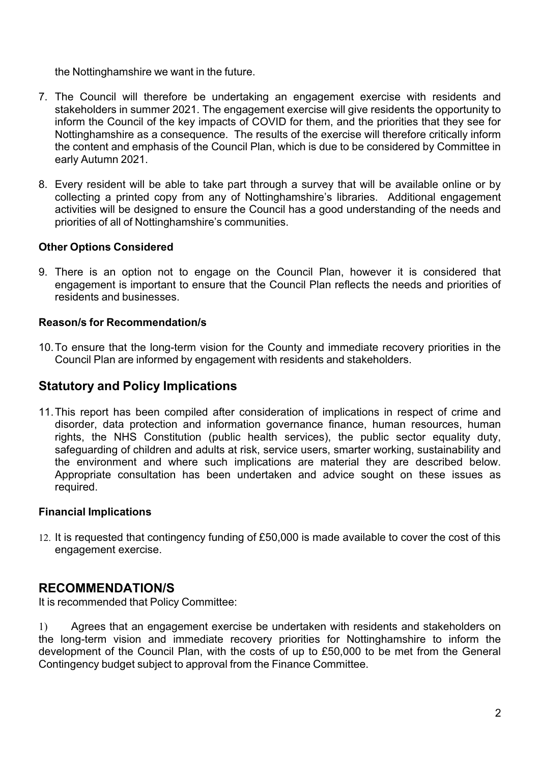the Nottinghamshire we want in the future.

- 7. The Council will therefore be undertaking an engagement exercise with residents and stakeholders in summer 2021. The engagement exercise will give residents the opportunity to inform the Council of the key impacts of COVID for them, and the priorities that they see for Nottinghamshire as a consequence. The results of the exercise will therefore critically inform the content and emphasis of the Council Plan, which is due to be considered by Committee in early Autumn 2021.
- 8. Every resident will be able to take part through a survey that will be available online or by collecting a printed copy from any of Nottinghamshire's libraries. Additional engagement activities will be designed to ensure the Council has a good understanding of the needs and priorities of all of Nottinghamshire's communities.

### **Other Options Considered**

9. There is an option not to engage on the Council Plan, however it is considered that engagement is important to ensure that the Council Plan reflects the needs and priorities of residents and businesses.

### **Reason/s for Recommendation/s**

10. To ensure that the long-term vision for the County and immediate recovery priorities in the Council Plan are informed by engagement with residents and stakeholders.

## **Statutory and Policy Implications**

11.This report has been compiled after consideration of implications in respect of crime and disorder, data protection and information governance finance, human resources, human rights, the NHS Constitution (public health services), the public sector equality duty, safeguarding of children and adults at risk, service users, smarter working, sustainability and the environment and where such implications are material they are described below. Appropriate consultation has been undertaken and advice sought on these issues as required.

### **Financial Implications**

12. It is requested that contingency funding of £50,000 is made available to cover the cost of this engagement exercise.

### **RECOMMENDATION/S**

It is recommended that Policy Committee:

1) Agrees that an engagement exercise be undertaken with residents and stakeholders on the long-term vision and immediate recovery priorities for Nottinghamshire to inform the development of the Council Plan, with the costs of up to £50,000 to be met from the General Contingency budget subject to approval from the Finance Committee.